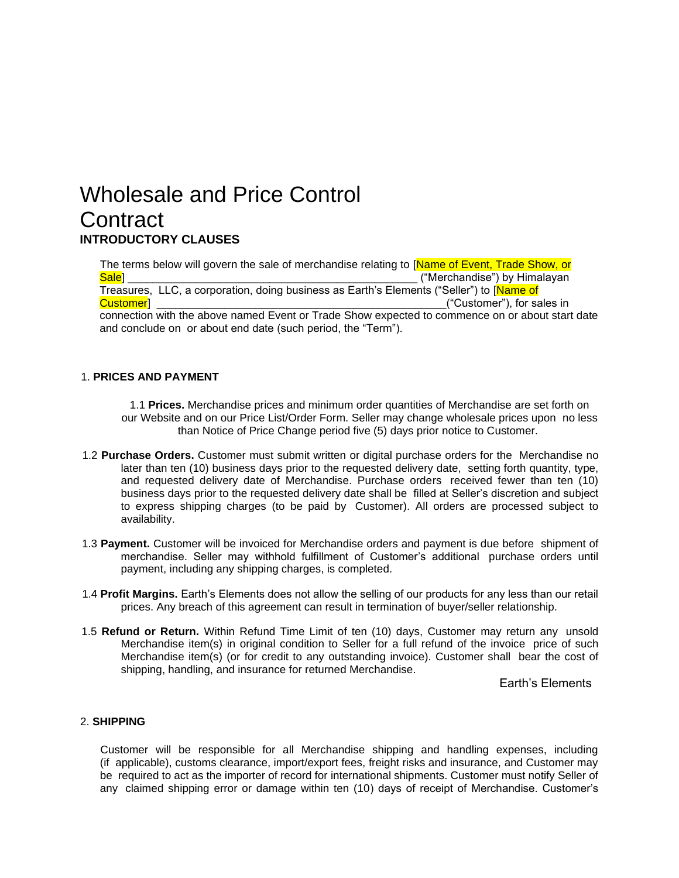# Wholesale and Price Control **Contract INTRODUCTORY CLAUSES**

The terms below will govern the sale of merchandise relating to [Name of Event, Trade Show, or Sale] \_\_\_\_\_\_\_\_\_\_\_\_\_\_\_\_\_\_\_\_\_\_\_\_\_\_\_\_\_\_\_\_\_\_\_\_\_\_\_\_\_\_\_\_\_\_\_ ("Merchandise") by Himalayan Treasures, LLC, a corporation, doing business as Earth's Elements ("Seller") to [Name of Customer] \_\_\_\_\_\_\_\_\_\_\_\_\_\_\_\_\_\_\_\_\_\_\_\_\_\_\_\_\_\_\_\_\_\_\_\_\_\_\_\_\_\_\_\_\_\_\_("Customer"), for sales in connection with the above named Event or Trade Show expected to commence on or about start date and conclude on or about end date (such period, the "Term").

## 1. **PRICES AND PAYMENT**

1.1 **Prices.** Merchandise prices and minimum order quantities of Merchandise are set forth on our Website and on our Price List/Order Form. Seller may change wholesale prices upon no less than Notice of Price Change period five (5) days prior notice to Customer.

- 1.2 **Purchase Orders.** Customer must submit written or digital purchase orders for the Merchandise no later than ten (10) business days prior to the requested delivery date, setting forth quantity, type, and requested delivery date of Merchandise. Purchase orders received fewer than ten (10) business days prior to the requested delivery date shall be filled at Seller's discretion and subject to express shipping charges (to be paid by Customer). All orders are processed subject to availability.
- 1.3 **Payment.** Customer will be invoiced for Merchandise orders and payment is due before shipment of merchandise. Seller may withhold fulfillment of Customer's additional purchase orders until payment, including any shipping charges, is completed.
- 1.4 **Profit Margins.** Earth's Elements does not allow the selling of our products for any less than our retail prices. Any breach of this agreement can result in termination of buyer/seller relationship.
- 1.5 **Refund or Return.** Within Refund Time Limit of ten (10) days, Customer may return any unsold Merchandise item(s) in original condition to Seller for a full refund of the invoice price of such Merchandise item(s) (or for credit to any outstanding invoice). Customer shall bear the cost of shipping, handling, and insurance for returned Merchandise.

Earth's Elements

### 2. **SHIPPING**

Customer will be responsible for all Merchandise shipping and handling expenses, including (if applicable), customs clearance, import/export fees, freight risks and insurance, and Customer may be required to act as the importer of record for international shipments. Customer must notify Seller of any claimed shipping error or damage within ten (10) days of receipt of Merchandise. Customer's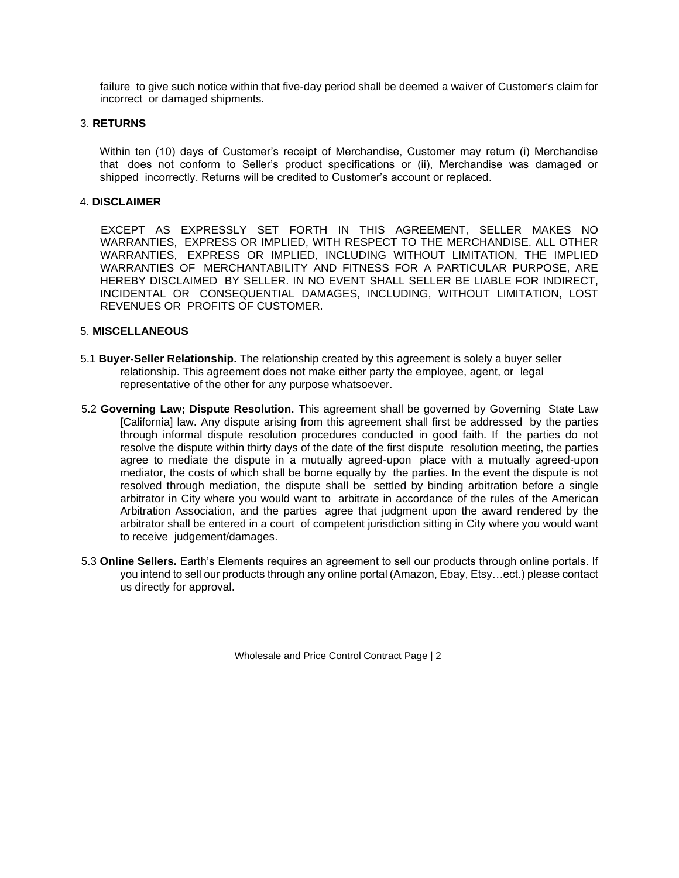failure to give such notice within that five-day period shall be deemed a waiver of Customer's claim for incorrect or damaged shipments.

#### 3. **RETURNS**

Within ten (10) days of Customer's receipt of Merchandise, Customer may return (i) Merchandise that does not conform to Seller's product specifications or (ii), Merchandise was damaged or shipped incorrectly. Returns will be credited to Customer's account or replaced.

## 4. **DISCLAIMER**

EXCEPT AS EXPRESSLY SET FORTH IN THIS AGREEMENT, SELLER MAKES NO WARRANTIES, EXPRESS OR IMPLIED, WITH RESPECT TO THE MERCHANDISE. ALL OTHER WARRANTIES, EXPRESS OR IMPLIED, INCLUDING WITHOUT LIMITATION, THE IMPLIED WARRANTIES OF MERCHANTABILITY AND FITNESS FOR A PARTICULAR PURPOSE, ARE HEREBY DISCLAIMED BY SELLER. IN NO EVENT SHALL SELLER BE LIABLE FOR INDIRECT, INCIDENTAL OR CONSEQUENTIAL DAMAGES, INCLUDING, WITHOUT LIMITATION, LOST REVENUES OR PROFITS OF CUSTOMER.

#### 5. **MISCELLANEOUS**

- 5.1 **Buyer-Seller Relationship.** The relationship created by this agreement is solely a buyer seller relationship. This agreement does not make either party the employee, agent, or legal representative of the other for any purpose whatsoever.
- 5.2 **Governing Law; Dispute Resolution.** This agreement shall be governed by Governing State Law [California] law. Any dispute arising from this agreement shall first be addressed by the parties through informal dispute resolution procedures conducted in good faith. If the parties do not resolve the dispute within thirty days of the date of the first dispute resolution meeting, the parties agree to mediate the dispute in a mutually agreed-upon place with a mutually agreed-upon mediator, the costs of which shall be borne equally by the parties. In the event the dispute is not resolved through mediation, the dispute shall be settled by binding arbitration before a single arbitrator in City where you would want to arbitrate in accordance of the rules of the American Arbitration Association, and the parties agree that judgment upon the award rendered by the arbitrator shall be entered in a court of competent jurisdiction sitting in City where you would want to receive judgement/damages.
- 5.3 **Online Sellers.** Earth's Elements requires an agreement to sell our products through online portals. If you intend to sell our products through any online portal (Amazon, Ebay, Etsy…ect.) please contact us directly for approval.

Wholesale and Price Control Contract Page | 2